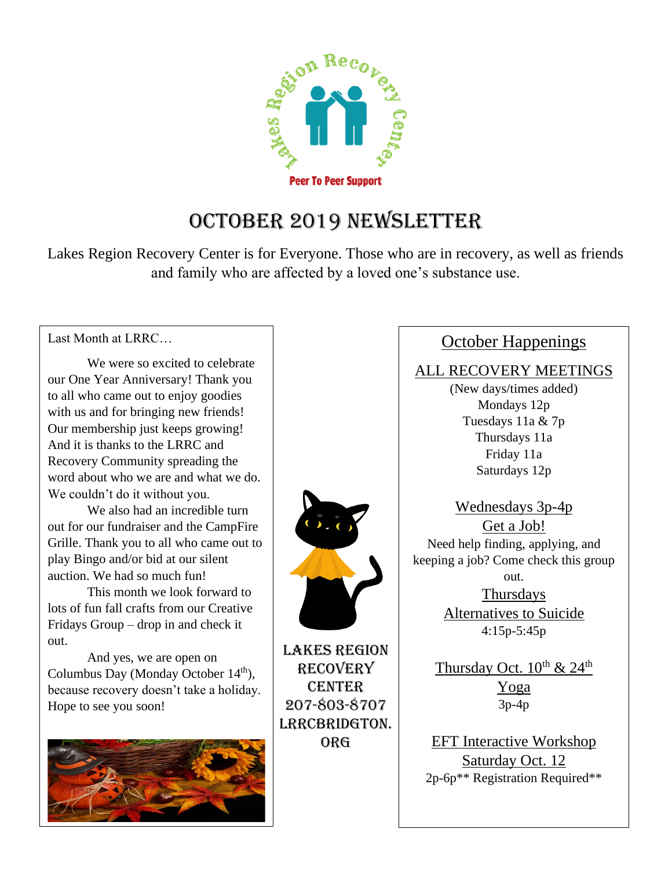

### October 2019 Newsletter

Lakes Region Recovery Center is for Everyone. Those who are in recovery, as well as friends and family who are affected by a loved one's substance use.

Last Month at LRRC…

We were so excited to celebrate our One Year Anniversary! Thank you to all who came out to enjoy goodies with us and for bringing new friends! Our membership just keeps growing! And it is thanks to the LRRC and Recovery Community spreading the word about who we are and what we do. We couldn't do it without you.

We also had an incredible turn out for our fundraiser and the CampFire Grille. Thank you to all who came out to play Bingo and/or bid at our silent auction. We had so much fun!

This month we look forward to lots of fun fall crafts from our Creative Fridays Group – drop in and check it out.

And yes, we are open on Columbus Day (Monday October 14<sup>th</sup>), because recovery doesn't take a holiday. Hope to see you soon!





Lakes Region Recovery **CENTER** 207-803-8707 LRRCBRIDGTON. org

### October Happenings

#### ALL RECOVERY MEETINGS

(New days/times added) Mondays 12p Tuesdays 11a & 7p Thursdays 11a Friday 11a Saturdays 12p

Wednesdays 3p-4p Get a Job! Need help finding, applying, and keeping a job? Come check this group out.

> Thursdays Alternatives to Suicide 4:15p-5:45p

Thursday Oct.  $10^{th}$  &  $24^{th}$ Yoga 3p-4p

EFT Interactive Workshop Saturday Oct. 12 2p-6p\*\* Registration Required\*\*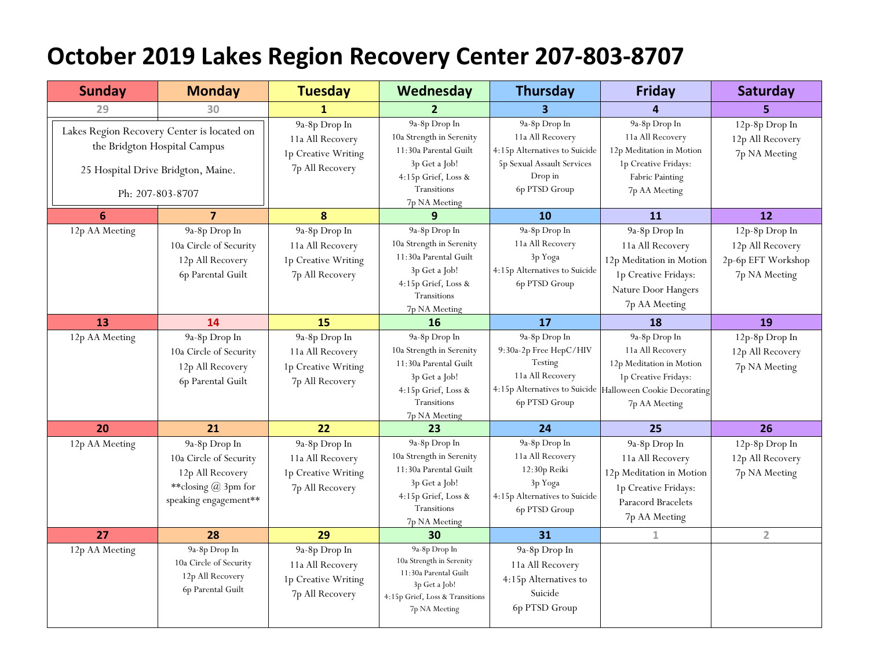## **October 2019 Lakes Region Recovery Center 207-803-8707**

| <b>Sunday</b>                                                                                                                        | <b>Monday</b>                                                                                                 | <b>Tuesday</b>                                                              | Wednesday                                                                                                                                            | <b>Thursday</b>                                                                                                              | <b>Friday</b>                                                                                                                                                       | Saturday                                                                  |
|--------------------------------------------------------------------------------------------------------------------------------------|---------------------------------------------------------------------------------------------------------------|-----------------------------------------------------------------------------|------------------------------------------------------------------------------------------------------------------------------------------------------|------------------------------------------------------------------------------------------------------------------------------|---------------------------------------------------------------------------------------------------------------------------------------------------------------------|---------------------------------------------------------------------------|
| 29                                                                                                                                   | 30                                                                                                            | 1                                                                           | $\overline{2}$                                                                                                                                       | 3                                                                                                                            | 4                                                                                                                                                                   | 5                                                                         |
| Lakes Region Recovery Center is located on<br>the Bridgton Hospital Campus<br>25 Hospital Drive Bridgton, Maine.<br>Ph: 207-803-8707 |                                                                                                               | 9a-8p Drop In<br>11a All Recovery<br>1p Creative Writing<br>7p All Recovery | 9a-8p Drop In<br>10a Strength in Serenity<br>11:30a Parental Guilt<br>3p Get a Job!<br>4:15p Grief, Loss &<br>Transitions<br>7p NA Meeting           | 9a-8p Drop In<br>11a All Recovery<br>4:15p Alternatives to Suicide<br>5p Sexual Assault Services<br>Drop in<br>6p PTSD Group | 9a-8p Drop In<br>11a All Recovery<br>12p Meditation in Motion<br>1p Creative Fridays:<br>Fabric Painting<br>7p AA Meeting                                           | 12p-8p Drop In<br>12p All Recovery<br>7p NA Meeting                       |
| $6\phantom{1}6$                                                                                                                      | $\overline{\mathbf{z}}$                                                                                       | 8                                                                           | 9                                                                                                                                                    | 10                                                                                                                           | 11                                                                                                                                                                  | 12                                                                        |
| 12p AA Meeting                                                                                                                       | 9a-8p Drop In<br>10a Circle of Security<br>12p All Recovery<br>6p Parental Guilt                              | 9a-8p Drop In<br>11a All Recovery<br>1p Creative Writing<br>7p All Recovery | 9a-8p Drop In<br>10a Strength in Serenity<br>11:30a Parental Guilt<br>3p Get a Job!<br>4:15p Grief, Loss &<br>Transitions<br>7p NA Meeting           | 9a-8p Drop In<br>11a All Recovery<br>3p Yoga<br>4:15p Alternatives to Suicide<br>6p PTSD Group                               | 9a-8p Drop In<br>11a All Recovery<br>12p Meditation in Motion<br>1p Creative Fridays:<br>Nature Door Hangers<br>7p AA Meeting                                       | 12p-8p Drop In<br>12p All Recovery<br>2p-6p EFT Workshop<br>7p NA Meeting |
| 13                                                                                                                                   | 14                                                                                                            | 15                                                                          | 16                                                                                                                                                   | 17                                                                                                                           | 18                                                                                                                                                                  | 19                                                                        |
| 12p AA Meeting                                                                                                                       | 9a-8p Drop In<br>10a Circle of Security<br>12p All Recovery<br>6p Parental Guilt                              | 9a-8p Drop In<br>11a All Recovery<br>1p Creative Writing<br>7p All Recovery | 9a-8p Drop In<br>10a Strength in Serenity<br>11:30a Parental Guilt<br>3p Get a Job!<br>4:15p Grief, Loss &<br>Transitions<br>7p NA Meeting           | 9a-8p Drop In<br>9:30a-2p Free HepC/HIV<br>Testing<br>11a All Recovery<br>6p PTSD Group                                      | 9a-8p Drop In<br>11a All Recovery<br>12p Meditation in Motion<br>1p Creative Fridays:<br>4:15p Alternatives to Suicide Halloween Cookie Decorating<br>7p AA Meeting | 12p-8p Drop In<br>12p All Recovery<br>7p NA Meeting                       |
| 20                                                                                                                                   | 21                                                                                                            | 22                                                                          | 23                                                                                                                                                   | 24                                                                                                                           | 25                                                                                                                                                                  | 26                                                                        |
| 12p AA Meeting                                                                                                                       | 9a-8p Drop In<br>10a Circle of Security<br>12p All Recovery<br>**closing $@$ 3pm for<br>speaking engagement** | 9a-8p Drop In<br>11a All Recovery<br>1p Creative Writing<br>7p All Recovery | 9a-8p Drop In<br>10a Strength in Serenity<br>11:30a Parental Guilt<br>3p Get a Job!<br>4:15p Grief, Loss &<br>Transitions<br>7p NA Meeting           | 9a-8p Drop In<br>11a All Recovery<br>12:30p Reiki<br>3p Yoga<br>4:15p Alternatives to Suicide<br>6p PTSD Group               | 9a-8p Drop In<br>11a All Recovery<br>12p Meditation in Motion<br>1p Creative Fridays:<br>Paracord Bracelets<br>7p AA Meeting                                        | 12p-8p Drop In<br>12p All Recovery<br>7p NA Meeting                       |
| 27                                                                                                                                   | 28                                                                                                            | 29                                                                          | 30                                                                                                                                                   | 31                                                                                                                           | $\mathbf 1$                                                                                                                                                         | $\overline{2}$                                                            |
| 12p AA Meeting                                                                                                                       | 9a-8p Drop In<br>10a Circle of Security<br>12p All Recovery<br>6p Parental Guilt                              | 9a-8p Drop In<br>11a All Recovery<br>1p Creative Writing<br>7p All Recovery | 9a-8p $\mbox{\rm Drop}$ In<br>10a Strength in Serenity<br>11:30a Parental Guilt<br>3p Get a Job!<br>4:15p Grief, Loss & Transitions<br>7p NA Meeting | 9a-8p Drop In<br>11a All Recovery<br>4:15p Alternatives to<br>Suicide<br>6p PTSD Group                                       |                                                                                                                                                                     |                                                                           |